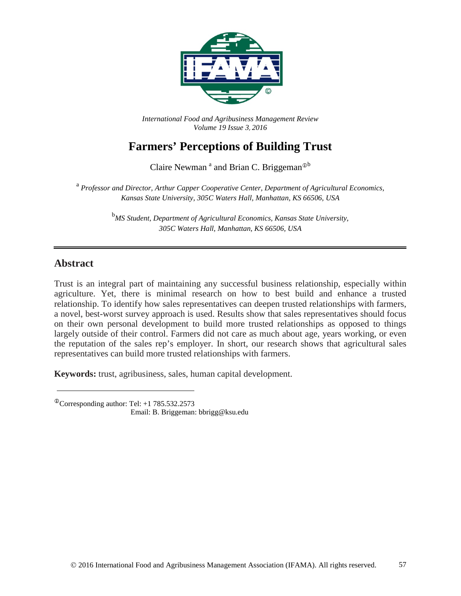

*International Food and Agribusiness Management Review Volume 19 Issue 3*, *2016*

# **Farmers' Perceptions of Building Trust**

Claire Newman<sup>a</sup> and Brian C. Briggeman<sup> $\Phi$ b</sup>

<sup>a</sup> *Professor and Director, Arthur Capper Cooperative Center, Department of Agricultural Economics, Kansas State University, 305C Waters Hall, Manhattan, KS 66506, USA* 

> <sup>b</sup>MS Student, Department of Agricultural Economics, Kansas State University, *305C Waters Hall, Manhattan, KS 66506, USA*

### **Abstract**

Trust is an integral part of maintaining any successful business relationship, especially within agriculture. Yet, there is minimal research on how to best build and enhance a trusted relationship. To identify how sales representatives can deepen trusted relationships with farmers, a novel, best-worst survey approach is used. Results show that sales representatives should focus on their own personal development to build more trusted relationships as opposed to things largely outside of their control. Farmers did not care as much about age, years working, or even the reputation of the sales rep's employer. In short, our research shows that agricultural sales representatives can build more trusted relationships with farmers.

**Keywords:** trust, agribusiness, sales, human capital development.

 $^{\circ}$ Corresponding author: Tel: +1 785.532.2573 Email: B. Briggeman: bbrigg@ksu.edu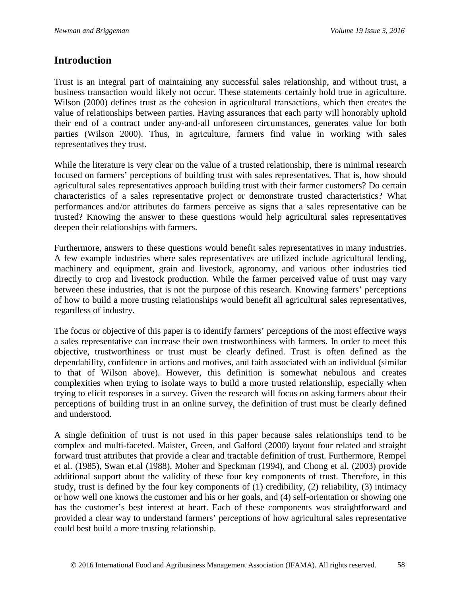### **Introduction**

Trust is an integral part of maintaining any successful sales relationship, and without trust, a business transaction would likely not occur. These statements certainly hold true in agriculture. Wilson (2000) defines trust as the cohesion in agricultural transactions, which then creates the value of relationships between parties. Having assurances that each party will honorably uphold their end of a contract under any-and-all unforeseen circumstances, generates value for both parties (Wilson 2000). Thus, in agriculture, farmers find value in working with sales representatives they trust.

While the literature is very clear on the value of a trusted relationship, there is minimal research focused on farmers' perceptions of building trust with sales representatives. That is, how should agricultural sales representatives approach building trust with their farmer customers? Do certain characteristics of a sales representative project or demonstrate trusted characteristics? What performances and/or attributes do farmers perceive as signs that a sales representative can be trusted? Knowing the answer to these questions would help agricultural sales representatives deepen their relationships with farmers.

Furthermore, answers to these questions would benefit sales representatives in many industries. A few example industries where sales representatives are utilized include agricultural lending, machinery and equipment, grain and livestock, agronomy, and various other industries tied directly to crop and livestock production. While the farmer perceived value of trust may vary between these industries, that is not the purpose of this research. Knowing farmers' perceptions of how to build a more trusting relationships would benefit all agricultural sales representatives, regardless of industry.

The focus or objective of this paper is to identify farmers' perceptions of the most effective ways a sales representative can increase their own trustworthiness with farmers. In order to meet this objective, trustworthiness or trust must be clearly defined. Trust is often defined as the dependability, confidence in actions and motives, and faith associated with an individual (similar to that of Wilson above). However, this definition is somewhat nebulous and creates complexities when trying to isolate ways to build a more trusted relationship, especially when trying to elicit responses in a survey. Given the research will focus on asking farmers about their perceptions of building trust in an online survey, the definition of trust must be clearly defined and understood.

A single definition of trust is not used in this paper because sales relationships tend to be complex and multi-faceted. Maister, Green, and Galford (2000) layout four related and straight forward trust attributes that provide a clear and tractable definition of trust. Furthermore, Rempel et al. (1985), Swan et.al (1988), Moher and Speckman (1994), and Chong et al. (2003) provide additional support about the validity of these four key components of trust. Therefore, in this study, trust is defined by the four key components of (1) credibility, (2) reliability, (3) intimacy or how well one knows the customer and his or her goals, and (4) self-orientation or showing one has the customer's best interest at heart. Each of these components was straightforward and provided a clear way to understand farmers' perceptions of how agricultural sales representative could best build a more trusting relationship.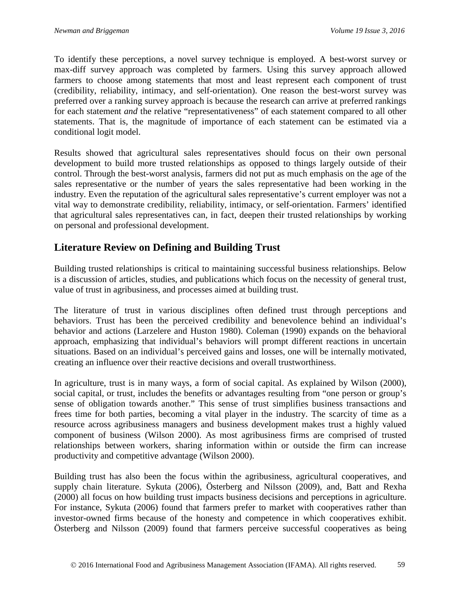To identify these perceptions, a novel survey technique is employed. A best-worst survey or max-diff survey approach was completed by farmers. Using this survey approach allowed farmers to choose among statements that most and least represent each component of trust (credibility, reliability, intimacy, and self-orientation). One reason the best-worst survey was preferred over a ranking survey approach is because the research can arrive at preferred rankings for each statement *and* the relative "representativeness" of each statement compared to all other statements. That is, the magnitude of importance of each statement can be estimated via a conditional logit model.

Results showed that agricultural sales representatives should focus on their own personal development to build more trusted relationships as opposed to things largely outside of their control. Through the best-worst analysis, farmers did not put as much emphasis on the age of the sales representative or the number of years the sales representative had been working in the industry. Even the reputation of the agricultural sales representative's current employer was not a vital way to demonstrate credibility, reliability, intimacy, or self-orientation. Farmers' identified that agricultural sales representatives can, in fact, deepen their trusted relationships by working on personal and professional development.

### **Literature Review on Defining and Building Trust**

Building trusted relationships is critical to maintaining successful business relationships. Below is a discussion of articles, studies, and publications which focus on the necessity of general trust, value of trust in agribusiness, and processes aimed at building trust.

The literature of trust in various disciplines often defined trust through perceptions and behaviors. Trust has been the perceived credibility and benevolence behind an individual's behavior and actions (Larzelere and Huston 1980). Coleman (1990) expands on the behavioral approach, emphasizing that individual's behaviors will prompt different reactions in uncertain situations. Based on an individual's perceived gains and losses, one will be internally motivated, creating an influence over their reactive decisions and overall trustworthiness.

In agriculture, trust is in many ways, a form of social capital. As explained by Wilson (2000), social capital, or trust, includes the benefits or advantages resulting from "one person or group's sense of obligation towards another." This sense of trust simplifies business transactions and frees time for both parties, becoming a vital player in the industry. The scarcity of time as a resource across agribusiness managers and business development makes trust a highly valued component of business (Wilson 2000). As most agribusiness firms are comprised of trusted relationships between workers, sharing information within or outside the firm can increase productivity and competitive advantage (Wilson 2000).

Building trust has also been the focus within the agribusiness, agricultural cooperatives, and supply chain literature. Sykuta (2006), Österberg and Nilsson (2009), and, Batt and Rexha (2000) all focus on how building trust impacts business decisions and perceptions in agriculture. For instance, Sykuta (2006) found that farmers prefer to market with cooperatives rather than investor-owned firms because of the honesty and competence in which cooperatives exhibit. Österberg and Nilsson (2009) found that farmers perceive successful cooperatives as being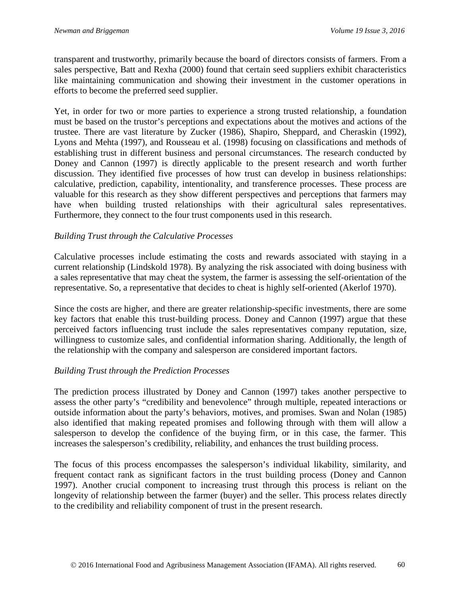transparent and trustworthy, primarily because the board of directors consists of farmers. From a sales perspective, Batt and Rexha (2000) found that certain seed suppliers exhibit characteristics like maintaining communication and showing their investment in the customer operations in efforts to become the preferred seed supplier.

Yet, in order for two or more parties to experience a strong trusted relationship, a foundation must be based on the trustor's perceptions and expectations about the motives and actions of the trustee. There are vast literature by Zucker (1986), Shapiro, Sheppard, and Cheraskin (1992), Lyons and Mehta (1997), and Rousseau et al. (1998) focusing on classifications and methods of establishing trust in different business and personal circumstances. The research conducted by Doney and Cannon (1997) is directly applicable to the present research and worth further discussion. They identified five processes of how trust can develop in business relationships: calculative, prediction, capability, intentionality, and transference processes. These process are valuable for this research as they show different perspectives and perceptions that farmers may have when building trusted relationships with their agricultural sales representatives. Furthermore, they connect to the four trust components used in this research.

#### *Building Trust through the Calculative Processes*

Calculative processes include estimating the costs and rewards associated with staying in a current relationship (Lindskold 1978). By analyzing the risk associated with doing business with a sales representative that may cheat the system, the farmer is assessing the self-orientation of the representative. So, a representative that decides to cheat is highly self-oriented (Akerlof 1970).

Since the costs are higher, and there are greater relationship-specific investments, there are some key factors that enable this trust-building process. Doney and Cannon (1997) argue that these perceived factors influencing trust include the sales representatives company reputation, size, willingness to customize sales, and confidential information sharing. Additionally, the length of the relationship with the company and salesperson are considered important factors.

### *Building Trust through the Prediction Processes*

The prediction process illustrated by Doney and Cannon (1997) takes another perspective to assess the other party's "credibility and benevolence" through multiple, repeated interactions or outside information about the party's behaviors, motives, and promises. Swan and Nolan (1985) also identified that making repeated promises and following through with them will allow a salesperson to develop the confidence of the buying firm, or in this case, the farmer. This increases the salesperson's credibility, reliability, and enhances the trust building process.

The focus of this process encompasses the salesperson's individual likability, similarity, and frequent contact rank as significant factors in the trust building process (Doney and Cannon 1997). Another crucial component to increasing trust through this process is reliant on the longevity of relationship between the farmer (buyer) and the seller. This process relates directly to the credibility and reliability component of trust in the present research.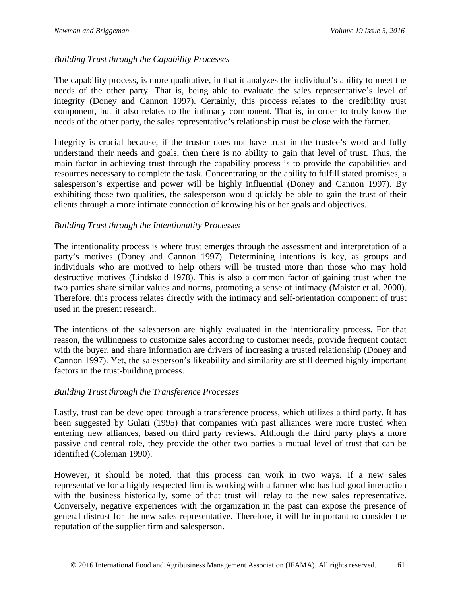### *Building Trust through the Capability Processes*

The capability process, is more qualitative, in that it analyzes the individual's ability to meet the needs of the other party. That is, being able to evaluate the sales representative's level of integrity (Doney and Cannon 1997). Certainly, this process relates to the credibility trust component, but it also relates to the intimacy component. That is, in order to truly know the needs of the other party, the sales representative's relationship must be close with the farmer.

Integrity is crucial because, if the trustor does not have trust in the trustee's word and fully understand their needs and goals, then there is no ability to gain that level of trust. Thus, the main factor in achieving trust through the capability process is to provide the capabilities and resources necessary to complete the task. Concentrating on the ability to fulfill stated promises, a salesperson's expertise and power will be highly influential (Doney and Cannon 1997). By exhibiting those two qualities, the salesperson would quickly be able to gain the trust of their clients through a more intimate connection of knowing his or her goals and objectives.

#### *Building Trust through the Intentionality Processes*

The intentionality process is where trust emerges through the assessment and interpretation of a party's motives (Doney and Cannon 1997). Determining intentions is key, as groups and individuals who are motived to help others will be trusted more than those who may hold destructive motives (Lindskold 1978). This is also a common factor of gaining trust when the two parties share similar values and norms, promoting a sense of intimacy (Maister et al. 2000). Therefore, this process relates directly with the intimacy and self-orientation component of trust used in the present research.

The intentions of the salesperson are highly evaluated in the intentionality process. For that reason, the willingness to customize sales according to customer needs, provide frequent contact with the buyer, and share information are drivers of increasing a trusted relationship (Doney and Cannon 1997). Yet, the salesperson's likeability and similarity are still deemed highly important factors in the trust-building process.

#### *Building Trust through the Transference Processes*

Lastly, trust can be developed through a transference process, which utilizes a third party. It has been suggested by Gulati (1995) that companies with past alliances were more trusted when entering new alliances, based on third party reviews. Although the third party plays a more passive and central role, they provide the other two parties a mutual level of trust that can be identified (Coleman 1990).

However, it should be noted, that this process can work in two ways. If a new sales representative for a highly respected firm is working with a farmer who has had good interaction with the business historically, some of that trust will relay to the new sales representative. Conversely, negative experiences with the organization in the past can expose the presence of general distrust for the new sales representative. Therefore, it will be important to consider the reputation of the supplier firm and salesperson.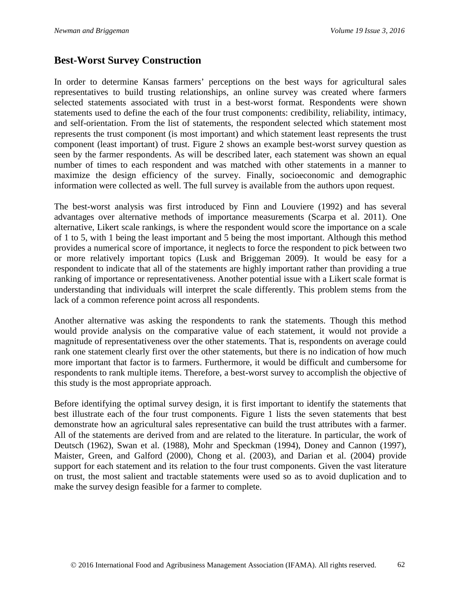### **Best-Worst Survey Construction**

In order to determine Kansas farmers' perceptions on the best ways for agricultural sales representatives to build trusting relationships, an online survey was created where farmers selected statements associated with trust in a best-worst format. Respondents were shown statements used to define the each of the four trust components: credibility, reliability, intimacy, and self-orientation. From the list of statements, the respondent selected which statement most represents the trust component (is most important) and which statement least represents the trust component (least important) of trust. Figure 2 shows an example best-worst survey question as seen by the farmer respondents. As will be described later, each statement was shown an equal number of times to each respondent and was matched with other statements in a manner to maximize the design efficiency of the survey. Finally, socioeconomic and demographic information were collected as well. The full survey is available from the authors upon request.

The best-worst analysis was first introduced by Finn and Louviere (1992) and has several advantages over alternative methods of importance measurements (Scarpa et al. 2011). One alternative, Likert scale rankings, is where the respondent would score the importance on a scale of 1 to 5, with 1 being the least important and 5 being the most important. Although this method provides a numerical score of importance, it neglects to force the respondent to pick between two or more relatively important topics (Lusk and Briggeman 2009). It would be easy for a respondent to indicate that all of the statements are highly important rather than providing a true ranking of importance or representativeness. Another potential issue with a Likert scale format is understanding that individuals will interpret the scale differently. This problem stems from the lack of a common reference point across all respondents.

Another alternative was asking the respondents to rank the statements. Though this method would provide analysis on the comparative value of each statement, it would not provide a magnitude of representativeness over the other statements. That is, respondents on average could rank one statement clearly first over the other statements, but there is no indication of how much more important that factor is to farmers. Furthermore, it would be difficult and cumbersome for respondents to rank multiple items. Therefore, a best-worst survey to accomplish the objective of this study is the most appropriate approach.

Before identifying the optimal survey design, it is first important to identify the statements that best illustrate each of the four trust components. Figure 1 lists the seven statements that best demonstrate how an agricultural sales representative can build the trust attributes with a farmer. All of the statements are derived from and are related to the literature. In particular, the work of Deutsch (1962), Swan et al. (1988), Mohr and Speckman (1994), Doney and Cannon (1997), Maister, Green, and Galford (2000), Chong et al. (2003), and Darian et al. (2004) provide support for each statement and its relation to the four trust components. Given the vast literature on trust, the most salient and tractable statements were used so as to avoid duplication and to make the survey design feasible for a farmer to complete.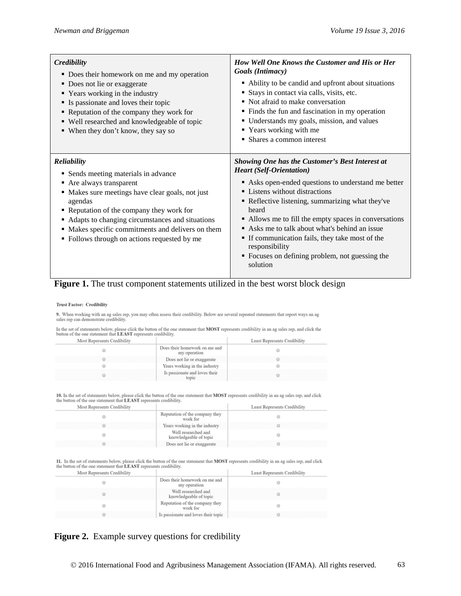| Credibility<br>• Does their homework on me and my operation<br>• Does not lie or exaggerate<br>• Years working in the industry<br>• Is passionate and loves their topic<br>• Reputation of the company they work for<br>• Well researched and knowledgeable of topic<br>• When they don't know, they say so                                                  | How Well One Knows the Customer and His or Her<br>Goals (Intimacy)<br>• Ability to be candid and upfront about situations<br>Stays in contact via calls, visits, etc.<br>• Not afraid to make conversation<br>• Finds the fun and fascination in my operation<br>• Understands my goals, mission, and values<br>" Years working with me<br>• Shares a common interest                                                                                                                    |
|--------------------------------------------------------------------------------------------------------------------------------------------------------------------------------------------------------------------------------------------------------------------------------------------------------------------------------------------------------------|------------------------------------------------------------------------------------------------------------------------------------------------------------------------------------------------------------------------------------------------------------------------------------------------------------------------------------------------------------------------------------------------------------------------------------------------------------------------------------------|
| <b>Reliability</b><br>• Sends meeting materials in advance<br>• Are always transparent<br>• Makes sure meetings have clear goals, not just<br>agendas<br>• Reputation of the company they work for<br>• Adapts to changing circumstances and situations<br>• Makes specific commitments and delivers on them<br>• Follows through on actions requested by me | <b>Showing One has the Customer's Best Interest at</b><br><b>Heart</b> (Self-Orientation)<br>Asks open-ended questions to understand me better<br>• Listens without distractions<br>• Reflective listening, summarizing what they've<br>heard<br>• Allows me to fill the empty spaces in conversations<br>Asks me to talk about what's behind an issue<br>If communication fails, they take most of the<br>responsibility<br>• Focuses on defining problem, not guessing the<br>solution |

#### Figure 1. The trust component statements utilized in the best worst block design

#### **Trust Factor: Credibility**

9. When working with an ag sales rep, you may often assess their credibility. Below are several repeated statements that report ways an ag sales rep can demonstrate credibility.

In the set of statements below, please click the button of the one statement that MOST represents credibility in an ag sales rep, and click the button of the one statement that LEAST represents credibility.

| Most Represents Credibility |                                               | Least Represents Credibility |
|-----------------------------|-----------------------------------------------|------------------------------|
|                             | Does their homework on me and<br>my operation |                              |
|                             | Does not lie or exaggerate                    |                              |
|                             | Years working in the industry                 |                              |
|                             | Is passionate and loves their<br>topic        |                              |

10. In the set of statements below, please click the button of the one statement that MOST represents credibility in an ag sales rep, and click the button of the one statement that LEAST represents credibility.  $\sim$ 

| Most Represents Credibility |                                               | Least Represents Credibility |
|-----------------------------|-----------------------------------------------|------------------------------|
|                             | Reputation of the company they<br>work for    |                              |
|                             | Years working in the industry                 |                              |
|                             | Well researched and<br>knowledgeable of topic |                              |
|                             | Does not lie or exaggerate                    |                              |

11. In the set of statements below, please click the button of the one statement that MOST represents credibility in an ag sales rep, and click the button of the one statement that LEAST represents credibility.  $\sim$ 

| Most Represents Credibility |                                               | Least Represents Credibility |
|-----------------------------|-----------------------------------------------|------------------------------|
|                             | Does their homework on me and<br>my operation |                              |
|                             | Well researched and<br>knowledgeable of topic |                              |
|                             | Reputation of the company they<br>work for    |                              |
|                             | Is passionate and loves their topic           |                              |
|                             |                                               |                              |

### Figure 2. Example survey questions for credibility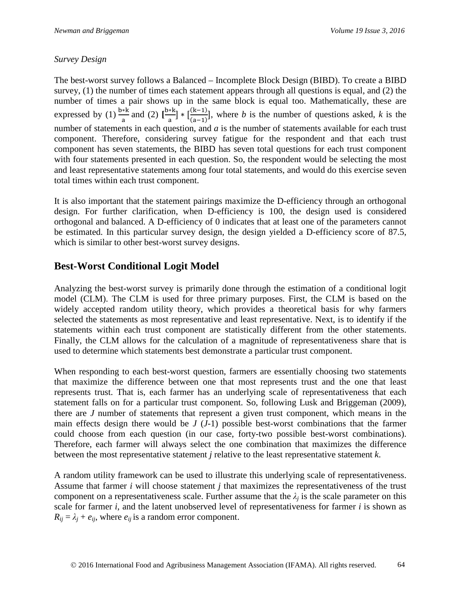### *Survey Design*

The best-worst survey follows a Balanced – Incomplete Block Design (BIBD). To create a BIBD survey, (1) the number of times each statement appears through all questions is equal, and (2) the number of times a pair shows up in the same block is equal too. Mathematically, these are expressed by (1)  $\frac{b*k}{a}$  and (2)  $\frac{b*k}{a}$   $*$   $\frac{(k-1)}{(a-1)}$  $\frac{(x-1)}{(a-1)}$ , where *b* is the number of questions asked, *k* is the number of statements in each question, and *a* is the number of statements available for each trust component. Therefore, considering survey fatigue for the respondent and that each trust component has seven statements, the BIBD has seven total questions for each trust component with four statements presented in each question. So, the respondent would be selecting the most and least representative statements among four total statements, and would do this exercise seven total times within each trust component.

It is also important that the statement pairings maximize the D-efficiency through an orthogonal design. For further clarification, when D-efficiency is 100, the design used is considered orthogonal and balanced. A D-efficiency of 0 indicates that at least one of the parameters cannot be estimated. In this particular survey design, the design yielded a D-efficiency score of 87.5, which is similar to other best-worst survey designs.

### **Best-Worst Conditional Logit Model**

Analyzing the best-worst survey is primarily done through the estimation of a conditional logit model (CLM). The CLM is used for three primary purposes. First, the CLM is based on the widely accepted random utility theory, which provides a theoretical basis for why farmers selected the statements as most representative and least representative. Next, is to identify if the statements within each trust component are statistically different from the other statements. Finally, the CLM allows for the calculation of a magnitude of representativeness share that is used to determine which statements best demonstrate a particular trust component.

When responding to each best-worst question, farmers are essentially choosing two statements that maximize the difference between one that most represents trust and the one that least represents trust. That is, each farmer has an underlying scale of representativeness that each statement falls on for a particular trust component. So, following Lusk and Briggeman (2009), there are *J* number of statements that represent a given trust component, which means in the main effects design there would be *J* (*J*-1) possible best-worst combinations that the farmer could choose from each question (in our case, forty-two possible best-worst combinations). Therefore, each farmer will always select the one combination that maximizes the difference between the most representative statement *j* relative to the least representative statement *k*.

A random utility framework can be used to illustrate this underlying scale of representativeness. Assume that farmer *i* will choose statement *j* that maximizes the representativeness of the trust component on a representativeness scale. Further assume that the  $\lambda_i$  is the scale parameter on this scale for farmer *i*, and the latent unobserved level of representativeness for farmer *i* is shown as  $R_{ij} = \lambda_j + e_{ij}$ , where  $e_{ij}$  is a random error component.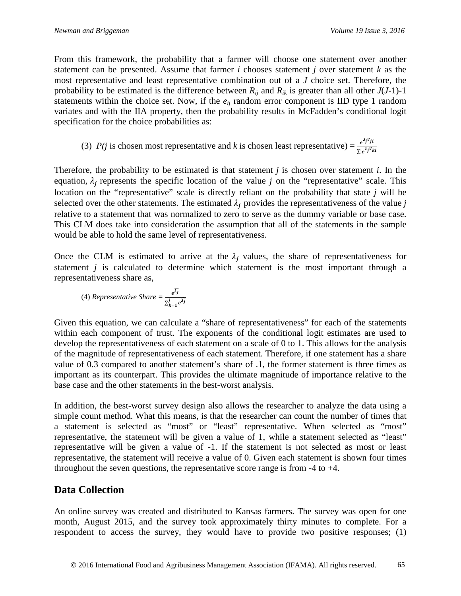From this framework, the probability that a farmer will choose one statement over another statement can be presented. Assume that farmer *i* chooses statement *j* over statement *k* as the most representative and least representative combination out of a *J* choice set. Therefore, the probability to be estimated is the difference between  $R_{ij}$  and  $R_{ik}$  is greater than all other  $J(J-1)-1$ statements within the choice set. Now, if the  $e_{ij}$  random error component is IID type 1 random variates and with the IIA property, then the probability results in McFadden's conditional logit specification for the choice probabilities as:

(3) *P*(*j* is chosen most representative and *k* is chosen least representative) = 
$$
\frac{e^{\lambda_j V_{ji}}}{\sum e^{\lambda_j V_{ki}}}
$$

Therefore, the probability to be estimated is that statement *j* is chosen over statement *i*. In the equation,  $\lambda_i$  represents the specific location of the value *j* on the "representative" scale. This location on the "representative" scale is directly reliant on the probability that state *j* will be selected over the other statements. The estimated  $\lambda_i$  provides the representativeness of the value *j* relative to a statement that was normalized to zero to serve as the dummy variable or base case. This CLM does take into consideration the assumption that all of the statements in the sample would be able to hold the same level of representativeness.

Once the CLM is estimated to arrive at the  $\lambda_i$  values, the share of representativeness for statement *j* is calculated to determine which statement is the most important through a representativeness share as,

(4) *Representative Shar* 
$$
= \frac{e^{\widehat{\lambda_j}}}{\sum_{k=1}^j e^{\widehat{\lambda_j}}}
$$

Given this equation, we can calculate a "share of representativeness" for each of the statements within each component of trust. The exponents of the conditional logit estimates are used to develop the representativeness of each statement on a scale of 0 to 1. This allows for the analysis of the magnitude of representativeness of each statement. Therefore, if one statement has a share value of 0.3 compared to another statement's share of .1, the former statement is three times as important as its counterpart. This provides the ultimate magnitude of importance relative to the base case and the other statements in the best-worst analysis.

In addition, the best-worst survey design also allows the researcher to analyze the data using a simple count method. What this means, is that the researcher can count the number of times that a statement is selected as "most" or "least" representative. When selected as "most" representative, the statement will be given a value of 1, while a statement selected as "least" representative will be given a value of -1. If the statement is not selected as most or least representative, the statement will receive a value of 0. Given each statement is shown four times throughout the seven questions, the representative score range is from -4 to +4.

### **Data Collection**

An online survey was created and distributed to Kansas farmers. The survey was open for one month, August 2015, and the survey took approximately thirty minutes to complete. For a respondent to access the survey, they would have to provide two positive responses; (1)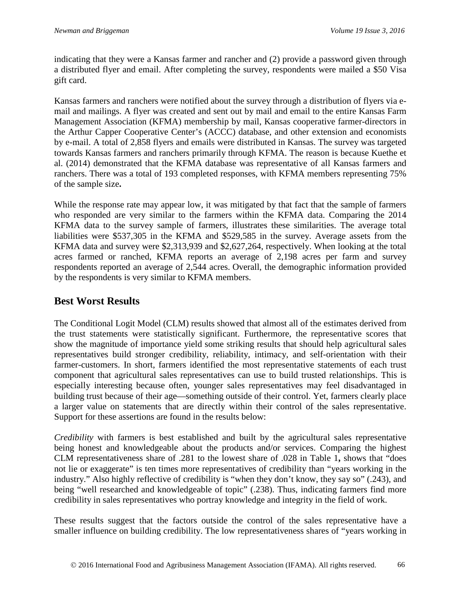indicating that they were a Kansas farmer and rancher and (2) provide a password given through a distributed flyer and email. After completing the survey, respondents were mailed a \$50 Visa gift card.

Kansas farmers and ranchers were notified about the survey through a distribution of flyers via email and mailings. A flyer was created and sent out by mail and email to the entire Kansas Farm Management Association (KFMA) membership by mail, Kansas cooperative farmer-directors in the Arthur Capper Cooperative Center's (ACCC) database, and other extension and economists by e-mail. A total of 2,858 flyers and emails were distributed in Kansas. The survey was targeted towards Kansas farmers and ranchers primarily through KFMA. The reason is because Kuethe et al. (2014) demonstrated that the KFMA database was representative of all Kansas farmers and ranchers. There was a total of 193 completed responses, with KFMA members representing 75% of the sample size**.**

While the response rate may appear low, it was mitigated by that fact that the sample of farmers who responded are very similar to the farmers within the KFMA data. Comparing the 2014 KFMA data to the survey sample of farmers, illustrates these similarities. The average total liabilities were \$537,305 in the KFMA and \$529,585 in the survey. Average assets from the KFMA data and survey were \$2,313,939 and \$2,627,264, respectively. When looking at the total acres farmed or ranched, KFMA reports an average of 2,198 acres per farm and survey respondents reported an average of 2,544 acres. Overall, the demographic information provided by the respondents is very similar to KFMA members.

## **Best Worst Results**

The Conditional Logit Model (CLM) results showed that almost all of the estimates derived from the trust statements were statistically significant. Furthermore, the representative scores that show the magnitude of importance yield some striking results that should help agricultural sales representatives build stronger credibility, reliability, intimacy, and self-orientation with their farmer-customers. In short, farmers identified the most representative statements of each trust component that agricultural sales representatives can use to build trusted relationships. This is especially interesting because often, younger sales representatives may feel disadvantaged in building trust because of their age—something outside of their control. Yet, farmers clearly place a larger value on statements that are directly within their control of the sales representative. Support for these assertions are found in the results below:

*Credibility* with farmers is best established and built by the agricultural sales representative being honest and knowledgeable about the products and/or services. Comparing the highest CLM representativeness share of .281 to the lowest share of .028 in Table 1**,** shows that "does not lie or exaggerate" is ten times more representatives of credibility than "years working in the industry." Also highly reflective of credibility is "when they don't know, they say so" (.243), and being "well researched and knowledgeable of topic" (.238). Thus, indicating farmers find more credibility in sales representatives who portray knowledge and integrity in the field of work.

These results suggest that the factors outside the control of the sales representative have a smaller influence on building credibility. The low representativeness shares of "years working in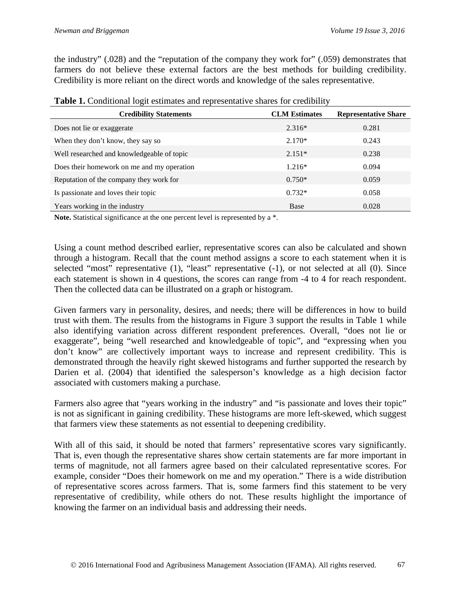the industry" (.028) and the "reputation of the company they work for" (.059) demonstrates that farmers do not believe these external factors are the best methods for building credibility. Credibility is more reliant on the direct words and knowledge of the sales representative.

| <b>Credibility Statements</b>              | <b>CLM</b> Estimates | <b>Representative Share</b> |  |
|--------------------------------------------|----------------------|-----------------------------|--|
| Does not lie or exaggerate                 | $2.316*$             | 0.281                       |  |
| When they don't know, they say so          | $2.170*$             | 0.243                       |  |
| Well researched and knowledgeable of topic | $2.151*$             | 0.238                       |  |
| Does their homework on me and my operation | $1.216*$             | 0.094                       |  |
| Reputation of the company they work for    | $0.750*$             | 0.059                       |  |
| Is passionate and loves their topic        | $0.732*$             | 0.058                       |  |
| Years working in the industry              | Base                 | 0.028                       |  |

**Table 1.** Conditional logit estimates and representative shares for credibility

Note. Statistical significance at the one percent level is represented by a  $*$ .

Using a count method described earlier, representative scores can also be calculated and shown through a histogram. Recall that the count method assigns a score to each statement when it is selected "most" representative (1), "least" representative (-1), or not selected at all (0). Since each statement is shown in 4 questions, the scores can range from -4 to 4 for reach respondent. Then the collected data can be illustrated on a graph or histogram.

Given farmers vary in personality, desires, and needs; there will be differences in how to build trust with them. The results from the histograms in Figure 3 support the results in Table 1 while also identifying variation across different respondent preferences. Overall, "does not lie or exaggerate", being "well researched and knowledgeable of topic", and "expressing when you don't know" are collectively important ways to increase and represent credibility. This is demonstrated through the heavily right skewed histograms and further supported the research by Darien et al. (2004) that identified the salesperson's knowledge as a high decision factor associated with customers making a purchase.

Farmers also agree that "years working in the industry" and "is passionate and loves their topic" is not as significant in gaining credibility. These histograms are more left-skewed, which suggest that farmers view these statements as not essential to deepening credibility.

With all of this said, it should be noted that farmers' representative scores vary significantly. That is, even though the representative shares show certain statements are far more important in terms of magnitude, not all farmers agree based on their calculated representative scores. For example, consider "Does their homework on me and my operation." There is a wide distribution of representative scores across farmers. That is, some farmers find this statement to be very representative of credibility, while others do not. These results highlight the importance of knowing the farmer on an individual basis and addressing their needs.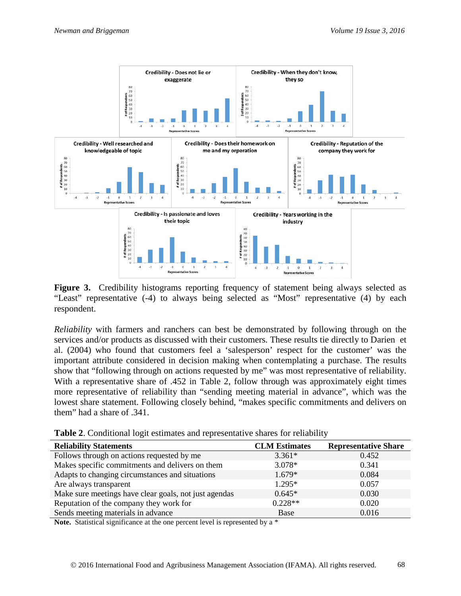

Figure 3. Credibility histograms reporting frequency of statement being always selected as "Least" representative (-4) to always being selected as "Most" representative (4) by each respondent.

*Reliability* with farmers and ranchers can best be demonstrated by following through on the services and/or products as discussed with their customers. These results tie directly to Darien et al. (2004) who found that customers feel a 'salesperson' respect for the customer' was the important attribute considered in decision making when contemplating a purchase. The results show that "following through on actions requested by me" was most representative of reliability. With a representative share of .452 in Table 2, follow through was approximately eight times more representative of reliability than "sending meeting material in advance", which was the lowest share statement. Following closely behind, "makes specific commitments and delivers on them" had a share of .341.

| Table 2. Conditional logit estimates and representative shares for reliability |  |
|--------------------------------------------------------------------------------|--|
|--------------------------------------------------------------------------------|--|

| <b>Reliability Statements</b>                         | <b>CLM</b> Estimates | <b>Representative Share</b> |
|-------------------------------------------------------|----------------------|-----------------------------|
| Follows through on actions requested by me            | $3.361*$             | 0.452                       |
| Makes specific commitments and delivers on them       | $3.078*$             | 0.341                       |
| Adapts to changing circumstances and situations       | $1.679*$             | 0.084                       |
| Are always transparent                                | $1.295*$             | 0.057                       |
| Make sure meetings have clear goals, not just agendas | $0.645*$             | 0.030                       |
| Reputation of the company they work for               | $0.228**$            | 0.020                       |
| Sends meeting materials in advance                    | Base                 | 0.016                       |

Note. Statistical significance at the one percent level is represented by a  $*$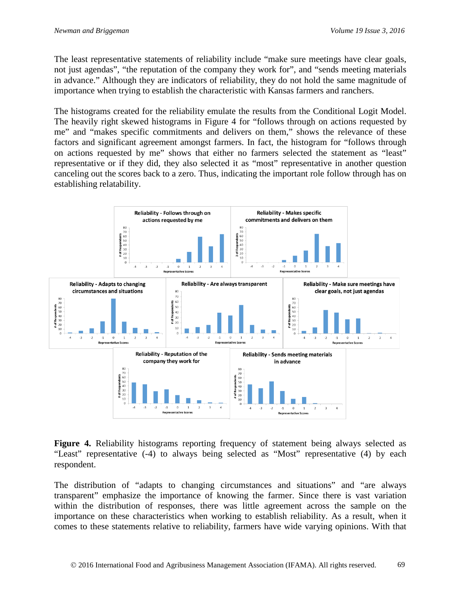The least representative statements of reliability include "make sure meetings have clear goals, not just agendas", "the reputation of the company they work for", and "sends meeting materials in advance." Although they are indicators of reliability, they do not hold the same magnitude of importance when trying to establish the characteristic with Kansas farmers and ranchers.

The histograms created for the reliability emulate the results from the Conditional Logit Model. The heavily right skewed histograms in Figure 4 for "follows through on actions requested by me" and "makes specific commitments and delivers on them," shows the relevance of these factors and significant agreement amongst farmers. In fact, the histogram for "follows through on actions requested by me" shows that either no farmers selected the statement as "least" representative or if they did, they also selected it as "most" representative in another question canceling out the scores back to a zero. Thus, indicating the important role follow through has on establishing relatability.



Figure 4. Reliability histograms reporting frequency of statement being always selected as "Least" representative (-4) to always being selected as "Most" representative (4) by each respondent.

The distribution of "adapts to changing circumstances and situations" and "are always transparent" emphasize the importance of knowing the farmer. Since there is vast variation within the distribution of responses, there was little agreement across the sample on the importance on these characteristics when working to establish reliability. As a result, when it comes to these statements relative to reliability, farmers have wide varying opinions. With that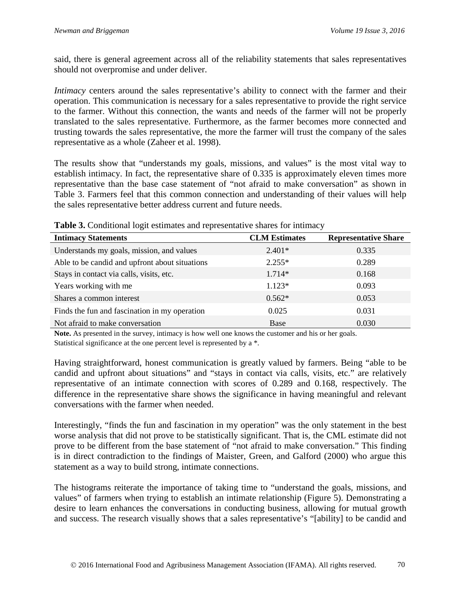said, there is general agreement across all of the reliability statements that sales representatives should not overpromise and under deliver.

*Intimacy* centers around the sales representative's ability to connect with the farmer and their operation. This communication is necessary for a sales representative to provide the right service to the farmer. Without this connection, the wants and needs of the farmer will not be properly translated to the sales representative. Furthermore, as the farmer becomes more connected and trusting towards the sales representative, the more the farmer will trust the company of the sales representative as a whole (Zaheer et al. 1998).

The results show that "understands my goals, missions, and values" is the most vital way to establish intimacy. In fact, the representative share of 0.335 is approximately eleven times more representative than the base case statement of "not afraid to make conversation" as shown in Table 3. Farmers feel that this common connection and understanding of their values will help the sales representative better address current and future needs.

| <b>Intimacy Statements</b>                     | <b>CLM Estimates</b> | <b>Representative Share</b> |
|------------------------------------------------|----------------------|-----------------------------|
| Understands my goals, mission, and values      | $2.401*$             | 0.335                       |
| Able to be candid and upfront about situations | $2.255*$             | 0.289                       |
| Stays in contact via calls, visits, etc.       | $1.714*$             | 0.168                       |
| Years working with me                          | $1.123*$             | 0.093                       |
| Shares a common interest                       | $0.562*$             | 0.053                       |
| Finds the fun and fascination in my operation  | 0.025                | 0.031                       |
| Not afraid to make conversation                | Base                 | 0.030                       |

**Table 3.** Conditional logit estimates and representative shares for intimacy

**Note.** As presented in the survey, intimacy is how well one knows the customer and his or her goals. Statistical significance at the one percent level is represented by a \*.

Having straightforward, honest communication is greatly valued by farmers. Being "able to be candid and upfront about situations" and "stays in contact via calls, visits, etc." are relatively representative of an intimate connection with scores of 0.289 and 0.168, respectively. The difference in the representative share shows the significance in having meaningful and relevant conversations with the farmer when needed.

Interestingly, "finds the fun and fascination in my operation" was the only statement in the best worse analysis that did not prove to be statistically significant. That is, the CML estimate did not prove to be different from the base statement of "not afraid to make conversation." This finding is in direct contradiction to the findings of Maister, Green, and Galford (2000) who argue this statement as a way to build strong, intimate connections.

The histograms reiterate the importance of taking time to "understand the goals, missions, and values" of farmers when trying to establish an intimate relationship (Figure 5). Demonstrating a desire to learn enhances the conversations in conducting business, allowing for mutual growth and success. The research visually shows that a sales representative's "[ability] to be candid and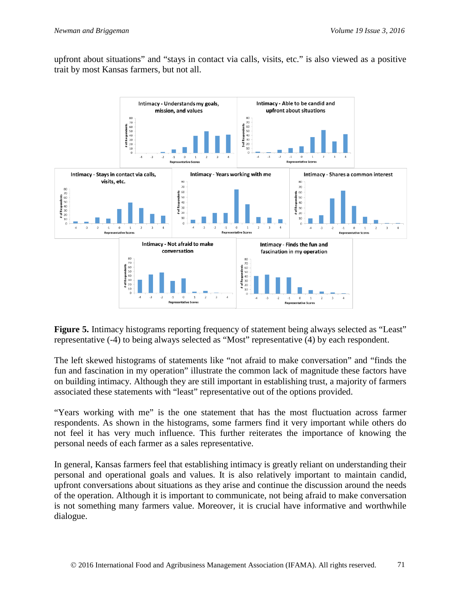upfront about situations" and "stays in contact via calls, visits, etc." is also viewed as a positive trait by most Kansas farmers, but not all.



**Figure 5.** Intimacy histograms reporting frequency of statement being always selected as "Least" representative (-4) to being always selected as "Most" representative (4) by each respondent.

The left skewed histograms of statements like "not afraid to make conversation" and "finds the fun and fascination in my operation" illustrate the common lack of magnitude these factors have on building intimacy. Although they are still important in establishing trust, a majority of farmers associated these statements with "least" representative out of the options provided.

"Years working with me" is the one statement that has the most fluctuation across farmer respondents. As shown in the histograms, some farmers find it very important while others do not feel it has very much influence. This further reiterates the importance of knowing the personal needs of each farmer as a sales representative.

In general, Kansas farmers feel that establishing intimacy is greatly reliant on understanding their personal and operational goals and values. It is also relatively important to maintain candid, upfront conversations about situations as they arise and continue the discussion around the needs of the operation. Although it is important to communicate, not being afraid to make conversation is not something many farmers value. Moreover, it is crucial have informative and worthwhile dialogue.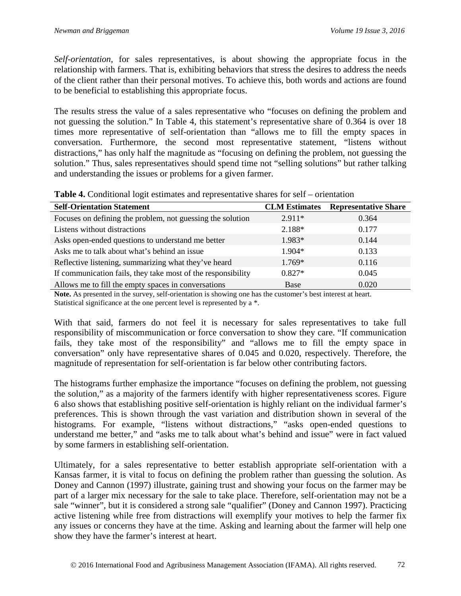*Self-orientation*, for sales representatives, is about showing the appropriate focus in the relationship with farmers. That is, exhibiting behaviors that stress the desires to address the needs of the client rather than their personal motives. To achieve this, both words and actions are found to be beneficial to establishing this appropriate focus.

The results stress the value of a sales representative who "focuses on defining the problem and not guessing the solution." In Table 4, this statement's representative share of 0.364 is over 18 times more representative of self-orientation than "allows me to fill the empty spaces in conversation. Furthermore, the second most representative statement, "listens without distractions," has only half the magnitude as "focusing on defining the problem, not guessing the solution." Thus, sales representatives should spend time not "selling solutions" but rather talking and understanding the issues or problems for a given farmer.

| <b>Self-Orientation Statement</b>                            | <b>CLM Estimates</b> | <b>Representative Share</b> |
|--------------------------------------------------------------|----------------------|-----------------------------|
| Focuses on defining the problem, not guessing the solution   | $2.911*$             | 0.364                       |
| Listens without distractions                                 | 2.188*               | 0.177                       |
| Asks open-ended questions to understand me better            | $1.983*$             | 0.144                       |
| Asks me to talk about what's behind an issue                 | 1.904*               | 0.133                       |
| Reflective listening, summarizing what they've heard         | $1.769*$             | 0.116                       |
| If communication fails, they take most of the responsibility | $0.827*$             | 0.045                       |
| Allows me to fill the empty spaces in conversations          | Base                 | 0.020                       |

**Table 4.** Conditional logit estimates and representative shares for self – orientation

**Note.** As presented in the survey, self-orientation is showing one has the customer's best interest at heart. Statistical significance at the one percent level is represented by a \*.

With that said, farmers do not feel it is necessary for sales representatives to take full responsibility of miscommunication or force conversation to show they care. "If communication fails, they take most of the responsibility" and "allows me to fill the empty space in conversation" only have representative shares of 0.045 and 0.020, respectively. Therefore, the magnitude of representation for self-orientation is far below other contributing factors.

The histograms further emphasize the importance "focuses on defining the problem, not guessing the solution," as a majority of the farmers identify with higher representativeness scores. Figure 6 also shows that establishing positive self-orientation is highly reliant on the individual farmer's preferences. This is shown through the vast variation and distribution shown in several of the histograms. For example, "listens without distractions," "asks open-ended questions to understand me better," and "asks me to talk about what's behind and issue" were in fact valued by some farmers in establishing self-orientation.

Ultimately, for a sales representative to better establish appropriate self-orientation with a Kansas farmer, it is vital to focus on defining the problem rather than guessing the solution. As Doney and Cannon (1997) illustrate, gaining trust and showing your focus on the farmer may be part of a larger mix necessary for the sale to take place. Therefore, self-orientation may not be a sale "winner", but it is considered a strong sale "qualifier" (Doney and Cannon 1997). Practicing active listening while free from distractions will exemplify your motives to help the farmer fix any issues or concerns they have at the time. Asking and learning about the farmer will help one show they have the farmer's interest at heart.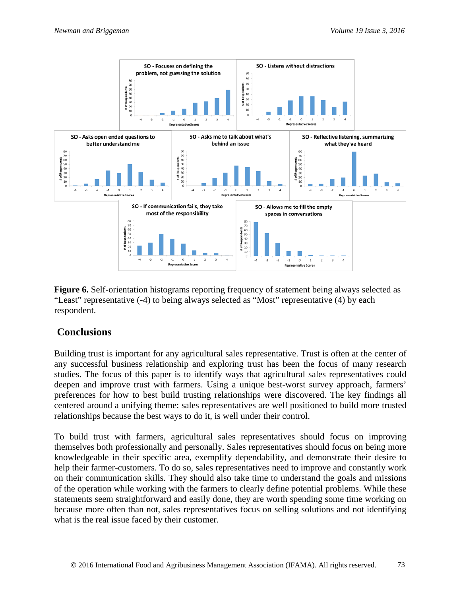

**Figure 6.** Self-orientation histograms reporting frequency of statement being always selected as "Least" representative (-4) to being always selected as "Most" representative (4) by each respondent.

### **Conclusions**

Building trust is important for any agricultural sales representative. Trust is often at the center of any successful business relationship and exploring trust has been the focus of many research studies. The focus of this paper is to identify ways that agricultural sales representatives could deepen and improve trust with farmers. Using a unique best-worst survey approach, farmers' preferences for how to best build trusting relationships were discovered. The key findings all centered around a unifying theme: sales representatives are well positioned to build more trusted relationships because the best ways to do it, is well under their control.

To build trust with farmers, agricultural sales representatives should focus on improving themselves both professionally and personally. Sales representatives should focus on being more knowledgeable in their specific area, exemplify dependability, and demonstrate their desire to help their farmer-customers. To do so, sales representatives need to improve and constantly work on their communication skills. They should also take time to understand the goals and missions of the operation while working with the farmers to clearly define potential problems. While these statements seem straightforward and easily done, they are worth spending some time working on because more often than not, sales representatives focus on selling solutions and not identifying what is the real issue faced by their customer.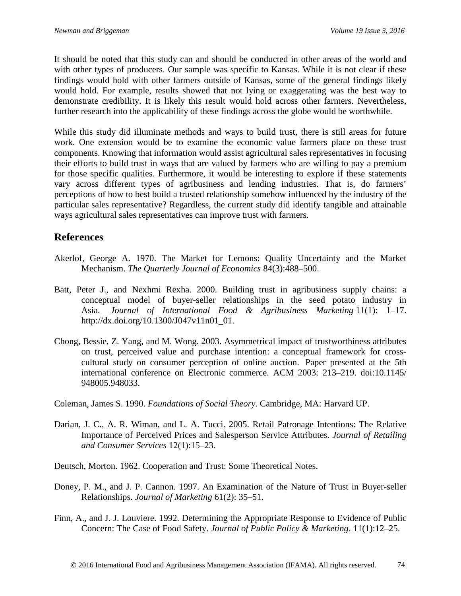It should be noted that this study can and should be conducted in other areas of the world and with other types of producers. Our sample was specific to Kansas. While it is not clear if these findings would hold with other farmers outside of Kansas, some of the general findings likely would hold. For example, results showed that not lying or exaggerating was the best way to demonstrate credibility. It is likely this result would hold across other farmers. Nevertheless, further research into the applicability of these findings across the globe would be worthwhile.

While this study did illuminate methods and ways to build trust, there is still areas for future work. One extension would be to examine the economic value farmers place on these trust components. Knowing that information would assist agricultural sales representatives in focusing their efforts to build trust in ways that are valued by farmers who are willing to pay a premium for those specific qualities. Furthermore, it would be interesting to explore if these statements vary across different types of agribusiness and lending industries. That is, do farmers' perceptions of how to best build a trusted relationship somehow influenced by the industry of the particular sales representative? Regardless, the current study did identify tangible and attainable ways agricultural sales representatives can improve trust with farmers.

### **References**

- Akerlof, George A. 1970. The Market for Lemons: Quality Uncertainty and the Market Mechanism. *The Quarterly Journal of Economics* 84(3):488–500.
- Batt, Peter J., and Nexhmi Rexha. 2000. Building trust in agribusiness supply chains: a conceptual model of buyer-seller relationships in the seed potato industry in Asia. *Journal of International Food & Agribusiness Marketing* 11(1): 1–17. http://dx.doi.org/10.1300/J047v11n01\_01.
- Chong, Bessie, Z. Yang, and M. Wong. 2003. Asymmetrical impact of trustworthiness attributes on trust, perceived value and purchase intention: a conceptual framework for crosscultural study on consumer perception of online auction. Paper presented at the 5th international conference on Electronic commerce. ACM 2003: 213–219. doi:10.1145/ 948005.948033.
- Coleman, James S. 1990. *Foundations of Social Theory*. Cambridge, MA: Harvard UP.
- Darian, J. C., A. R. Wiman, and L. A. Tucci. 2005. Retail Patronage Intentions: The Relative Importance of Perceived Prices and Salesperson Service Attributes. *Journal of Retailing and Consumer Services* 12(1):15–23.
- Deutsch, Morton. 1962. Cooperation and Trust: Some Theoretical Notes.
- Doney, P. M., and J. P. Cannon. 1997. An Examination of the Nature of Trust in Buyer-seller Relationships. *Journal of Marketing* 61(2): 35–51.
- Finn, A., and J. J. Louviere. 1992. Determining the Appropriate Response to Evidence of Public Concern: The Case of Food Safety. *Journal of Public Policy & Marketing*. 11(1):12–25.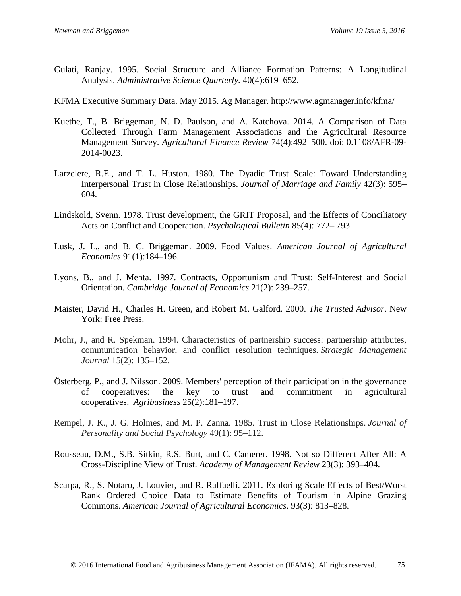Gulati, Ranjay. 1995. Social Structure and Alliance Formation Patterns: A Longitudinal Analysis. *Administrative Science Quarterly.* 40(4):619–652.

KFMA Executive Summary Data. May 2015. Ag Manager.<http://www.agmanager.info/kfma/>

- Kuethe, T., B. Briggeman, N. D. Paulson, and A. Katchova. 2014. A Comparison of Data Collected Through Farm Management Associations and the Agricultural Resource Management Survey. *Agricultural Finance Review* 74(4):492–500. doi: 0.1108/AFR-09- 2014-0023.
- Larzelere, R.E., and T. L. Huston. 1980. The Dyadic Trust Scale: Toward Understanding Interpersonal Trust in Close Relationships. *Journal of Marriage and Family* 42(3): 595– 604.
- Lindskold, Svenn. 1978. Trust development, the GRIT Proposal, and the Effects of Conciliatory Acts on Conflict and Cooperation. *Psychological Bulletin* 85(4): 772– 793.
- Lusk, J. L., and B. C. Briggeman. 2009. Food Values. *American Journal of Agricultural Economics* 91(1):184–196.
- Lyons, B., and J. Mehta. 1997. Contracts, Opportunism and Trust: Self-Interest and Social Orientation. *Cambridge Journal of Economics* 21(2): 239–257.
- Maister, David H., Charles H. Green, and Robert M. Galford. 2000. *The Trusted Advisor*. New York: Free Press.
- Mohr, J., and R. Spekman. 1994. Characteristics of partnership success: partnership attributes, communication behavior, and conflict resolution techniques. *Strategic Management Journal* 15(2): 135–152.
- Österberg, P., and J. Nilsson. 2009. Members' perception of their participation in the governance of cooperatives: the key to trust and commitment in agricultural cooperatives. *Agribusiness* 25(2):181–197.
- Rempel, J. K., J. G. Holmes, and M. P. Zanna. 1985. Trust in Close Relationships. *Journal of Personality and Social Psychology* 49(1): 95–112.
- Rousseau, D.M., S.B. Sitkin, R.S. Burt, and C. Camerer. 1998. Not so Different After All: A Cross-Discipline View of Trust. *Academy of Management Review* 23(3): 393–404.
- Scarpa, R., S. Notaro, J. Louvier, and R. Raffaelli. 2011. Exploring Scale Effects of Best/Worst Rank Ordered Choice Data to Estimate Benefits of Tourism in Alpine Grazing Commons. *American Journal of Agricultural Economics*. 93(3): 813–828.